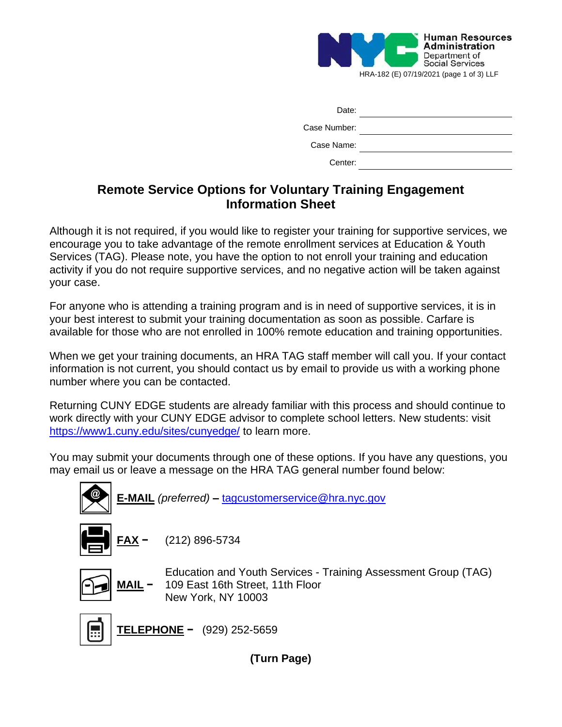

| Date:        |  |
|--------------|--|
| Case Number: |  |
| Case Name:   |  |
| Center:      |  |

# **Remote Service Options for Voluntary Training Engagement Information Sheet**

Although it is not required, if you would like to register your training for supportive services, we encourage you to take advantage of the remote enrollment services at Education & Youth Services (TAG). Please note, you have the option to not enroll your training and education activity if you do not require supportive services, and no negative action will be taken against your case.

For anyone who is attending a training program and is in need of supportive services, it is in your best interest to submit your training documentation as soon as possible. Carfare is available for those who are not enrolled in 100% remote education and training opportunities.

When we get your training documents, an HRA TAG staff member will call you. If your contact information is not current, you should contact us by email to provide us with a working phone number where you can be contacted.

Returning CUNY EDGE students are already familiar with this process and should continue to work directly with your CUNY EDGE advisor to complete school letters. New students: visit <https://www1.cuny.edu/sites/cunyedge/> to learn more.

You may submit your documents through one of these options. If you have any questions, you may email us or leave a message on the HRA TAG general number found below:



**(Turn Page)**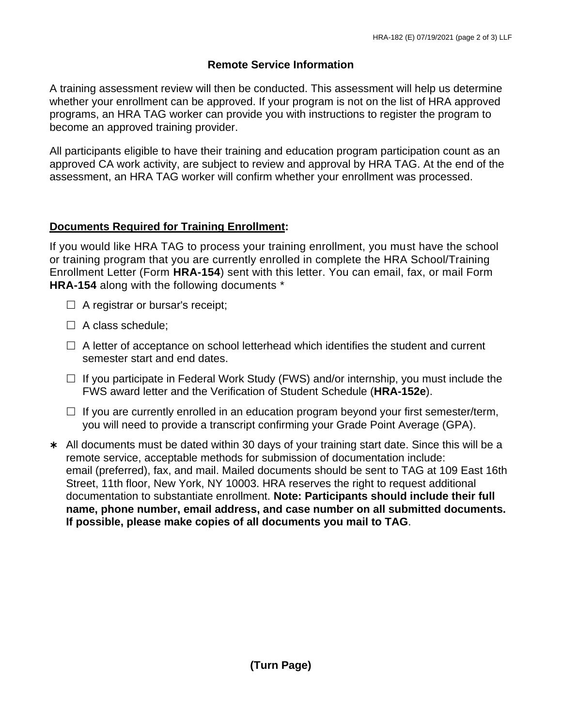## **Remote Service Information**

A training assessment review will then be conducted. This assessment will help us determine whether your enrollment can be approved. If your program is not on the list of HRA approved programs, an HRA TAG worker can provide you with instructions to register the program to become an approved training provider.

All participants eligible to have their training and education program participation count as an approved CA work activity, are subject to review and approval by HRA TAG. At the end of the assessment, an HRA TAG worker will confirm whether your enrollment was processed.

## **Documents Required for Training Enrollment:**

If you would like HRA TAG to process your training enrollment, you must have the school or training program that you are currently enrolled in complete the HRA School/Training Enrollment Letter (Form **HRA-154**) sent with this letter. You can email, fax, or mail Form **HRA-154** along with the following documents \*

- $\Box$  A registrar or bursar's receipt;
- $\Box$  A class schedule;
- $\Box$  A letter of acceptance on school letterhead which identifies the student and current semester start and end dates.
- $\Box$  If you participate in Federal Work Study (FWS) and/or internship, you must include the FWS award letter and the Verification of Student Schedule (**HRA-152e**).
- $\Box$  If you are currently enrolled in an education program beyond your first semester/term, you will need to provide a transcript confirming your Grade Point Average (GPA).
- All documents must be dated within 30 days of your training start date. Since this will be a remote service, acceptable methods for submission of documentation include: email (preferred), fax, and mail. Mailed documents should be sent to TAG at 109 East 16th Street, 11th floor, New York, NY 10003. HRA reserves the right to request additional documentation to substantiate enrollment. **Note: Participants should include their full name, phone number, email address, and case number on all submitted documents. If possible, please make copies of all documents you mail to TAG**.